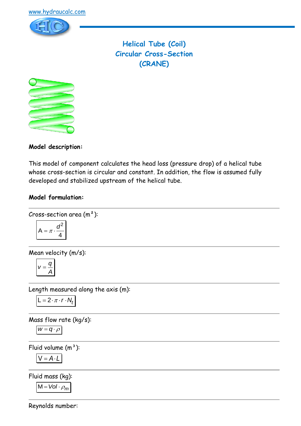

**Helical Tube (Coil) Circular Cross-Section (CRANE)**



**Model description:**

This model of component calculates the head loss (pressure drop) of a helical tube whose cross-section is circular and constant. In addition, the flow is assumed fully developed and stabilized upstream of the helical tube.

### **Model formulation:**

Cross-section area (m<sup>2</sup>):  

$$
A = \pi \cdot \frac{d^2}{4}
$$

Mean velocity (m/s):

$$
V=\frac{q}{A}
$$

Length measured along the axis (m):

$$
L = 2 \cdot \pi \cdot r \cdot N_t
$$

Mass flow rate (kg/s):

$$
W = q \cdot \rho
$$

Fluid volume  $(m<sup>3</sup>)$ :

$$
V = A \cdot L
$$

Fluid mass (kg):

 $M = Vol \cdot \rho_m$ 

Reynolds number: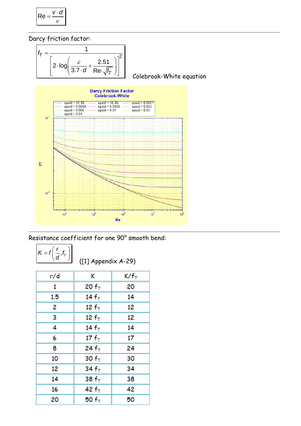$$
\mathsf{Re} = \frac{v \cdot d}{v}
$$

Darcy friction factor:



Resistance coefficient for one 90° smooth bend:

$$
K = f\left(\frac{r}{d}, f_{\tau}\right)
$$

([1] Appendix A-29)

| r/d | K          | K/f <sub>T</sub> |
|-----|------------|------------------|
| 1   | 20 $fT$    | 20               |
| 1.5 | 14 $fT$    | 14               |
| 2   | 12 $fT$    | 12               |
| 3   | 12 $fT$    | 12               |
| 4   | 14 $fT$    | 14               |
| 6   | 17 $f_{T}$ | 17               |
| 8   | 24 $f_{T}$ | 24               |
| 10  | 30 $fT$    | 30               |
| 12  | 34 $fT$    | 34               |
| 14  | 38 $fT$    | 38               |
| 16  | 42 $f_{T}$ | 42               |
| 20  | 50 $fT$    | 50               |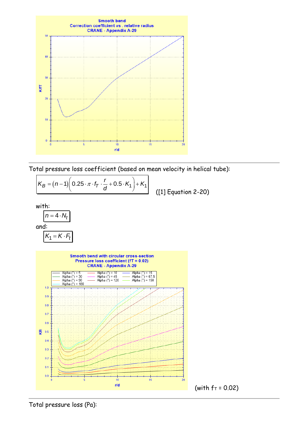

Total pressure loss coefficient (based on mean velocity in helical tube):



Total pressure loss (Pa):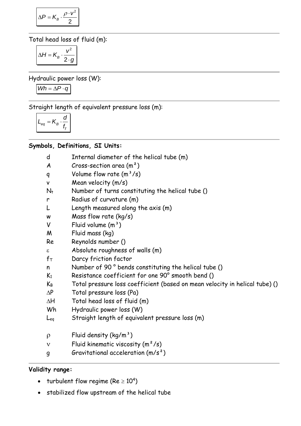$$
\Delta P = K_B \cdot \frac{\rho \cdot v^2}{2}
$$

Total head loss of fluid (m):

$$
\Delta H = K_B \cdot \frac{v^2}{2 \cdot g}
$$

Hydraulic power loss (W):

$$
Wh = \Delta P \cdot q
$$

Straight length of equivalent pressure loss (m):

$$
L_{eq} = K_B \cdot \frac{d}{f_{\tau}}
$$

# **Symbols, Definitions, SI Units:**

- d Internal diameter of the helical tube (m)
- $A$  Cross-section area  $(m<sup>2</sup>)$
- q Volume flow rate  $(m^3/s)$
- v Mean velocity (m/s)
- $N_t$  Number of turns constituting the helical tube ()
- r Radius of curvature (m)
- L Length measured along the axis (m)
- w Mass flow rate (kg/s)
- $V$  Fluid volume  $(m<sup>3</sup>)$
- M Fluid mass (kg)
- Re Reynolds number ()
- $\epsilon$  Absolute roughness of walls  $(m)$
- $f_T$  Darcy friction factor
- n Number of 90 ° bends constituting the helical tube ()
- K<sup>1</sup> Resistance coefficient for one 90° smooth bend ()
- $K_B$  Total pressure loss coefficient (based on mean velocity in helical tube) ()
- $\Delta P$  Total pressure loss (Pa)
- $\Delta H$  Total head loss of fluid (m)
- Wh Hydraulic power loss (W)
- Leq Straight length of equivalent pressure loss (m)
- $\rho$  Fluid density (kg/m<sup>3</sup>)
- $v$  Fluid kinematic viscosity  $(m^2/s)$
- g Gravitational acceleration (m/s²)

## **Validity range:**

- turbulent flow regime (Re  $\geq 10^4$ )
- stabilized flow upstream of the helical tube